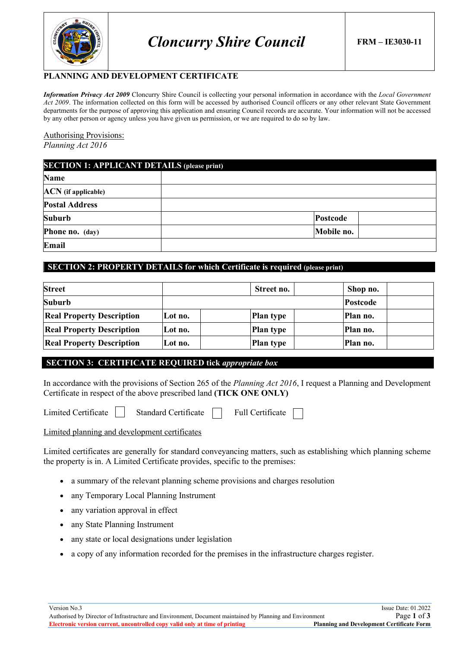

# **PLANNING AND DEVELOPMENT CERTIFICATE**

*Information Privacy Act 2009* Cloncurry Shire Council is collecting your personal information in accordance with the *Local Government Act 2009*. The information collected on this form will be accessed by authorised Council officers or any other relevant State Government departments for the purpose of approving this application and ensuring Council records are accurate. Your information will not be accessed by any other person or agency unless you have given us permission, or we are required to do so by law.

Authorising Provisions: *Planning Act 2016*

| <b>SECTION 1: APPLICANT DETAILS (please print)</b> |            |  |  |  |
|----------------------------------------------------|------------|--|--|--|
| <b>Name</b>                                        |            |  |  |  |
| <b>ACN</b> (if applicable)                         |            |  |  |  |
| <b>Postal Address</b>                              |            |  |  |  |
| <b>Suburb</b>                                      | Postcode   |  |  |  |
| Phone no. (day)                                    | Mobile no. |  |  |  |
| Email                                              |            |  |  |  |

# **SECTION 2: PROPERTY DETAILS for which Certificate is required (please print)**

| <b>Street</b>                    |         | Street no.       | Shop no. |  |
|----------------------------------|---------|------------------|----------|--|
| <b>Suburb</b>                    |         |                  | Postcode |  |
| <b>Real Property Description</b> | Lot no. | <b>Plan type</b> | Plan no. |  |
| <b>Real Property Description</b> | Lot no. | <b>Plan type</b> | Plan no. |  |
| <b>Real Property Description</b> | Lot no. | Plan type        | Plan no. |  |

# **SECTION 3: CERTIFICATE REQUIRED tick** *appropriate box*

In accordance with the provisions of Section 265 of the *Planning Act 2016*, I request a Planning and Development Certificate in respect of the above prescribed land **(TICK ONE ONLY)**

### Limited planning and development certificates

Limited certificates are generally for standard conveyancing matters, such as establishing which planning scheme the property is in. A Limited Certificate provides, specific to the premises:

- a summary of the relevant planning scheme provisions and charges resolution
- any Temporary Local Planning Instrument
- any variation approval in effect
- any State Planning Instrument
- any state or local designations under legislation
- a copy of any information recorded for the premises in the infrastructure charges register.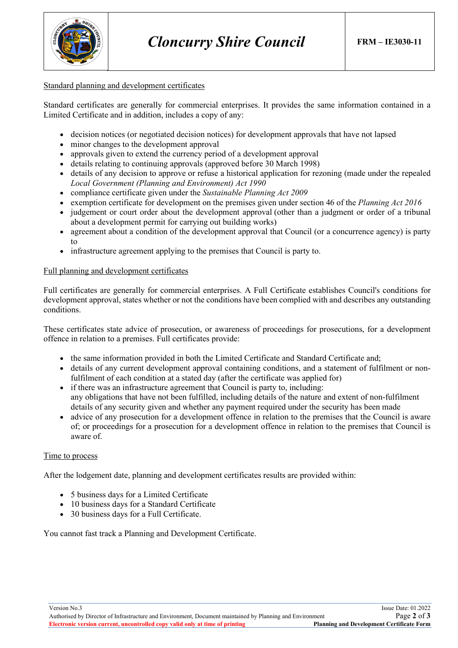

### Standard planning and development certificates

Standard certificates are generally for commercial enterprises. It provides the same information contained in a Limited Certificate and in addition, includes a copy of any:

- decision notices (or negotiated decision notices) for development approvals that have not lapsed
- minor changes to the development approval
- approvals given to extend the currency period of a development approval
- details relating to continuing approvals (approved before 30 March 1998)
- details of any decision to approve or refuse a historical application for rezoning (made under the repealed *Local Government (Planning and Environment) Act 1990*
- compliance certificate given under the *Sustainable Planning Act 2009*
- exemption certificate for development on the premises given under section 46 of the *Planning Act 2016*
- judgement or court order about the development approval (other than a judgment or order of a tribunal about a development permit for carrying out building works)
- agreement about a condition of the development approval that Council (or a concurrence agency) is party to
- infrastructure agreement applying to the premises that Council is party to.

### Full planning and development certificates

Full certificates are generally for commercial enterprises. A Full Certificate establishes Council's conditions for development approval, states whether or not the conditions have been complied with and describes any outstanding conditions.

These certificates state advice of prosecution, or awareness of proceedings for prosecutions, for a development offence in relation to a premises. Full certificates provide:

- the same information provided in both the Limited Certificate and Standard Certificate and;
- details of any current development approval containing conditions, and a statement of fulfilment or nonfulfilment of each condition at a stated day (after the certificate was applied for)
- if there was an infrastructure agreement that Council is party to, including: any obligations that have not been fulfilled, including details of the nature and extent of non-fulfilment details of any security given and whether any payment required under the security has been made
- advice of any prosecution for a development offence in relation to the premises that the Council is aware of; or proceedings for a prosecution for a development offence in relation to the premises that Council is aware of.

### Time to process

After the lodgement date, planning and development certificates results are provided within:

- 5 business days for a Limited Certificate
- 10 business days for a Standard Certificate
- 30 business days for a Full Certificate.

You cannot fast track a Planning and Development Certificate.